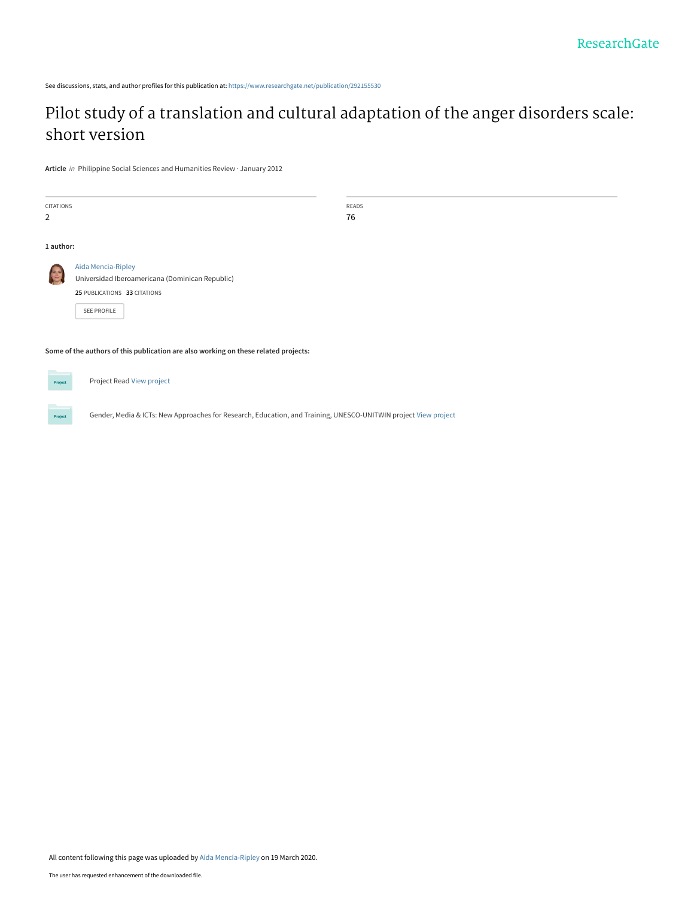See discussions, stats, and author profiles for this publication at: [https://www.researchgate.net/publication/292155530](https://www.researchgate.net/publication/292155530_Pilot_study_of_a_translation_and_cultural_adaptation_of_the_anger_disorders_scale_short_version?enrichId=rgreq-c09df252158580e453b5c2e6d39f846d-XXX&enrichSource=Y292ZXJQYWdlOzI5MjE1NTUzMDtBUzo4NzA4MTY3NjU5OTI5NjNAMTU4NDYzMDMwNDM4OA%3D%3D&el=1_x_2&_esc=publicationCoverPdf)

# [Pilot study of a translation and cultural adaptation of the anger disorders scale:](https://www.researchgate.net/publication/292155530_Pilot_study_of_a_translation_and_cultural_adaptation_of_the_anger_disorders_scale_short_version?enrichId=rgreq-c09df252158580e453b5c2e6d39f846d-XXX&enrichSource=Y292ZXJQYWdlOzI5MjE1NTUzMDtBUzo4NzA4MTY3NjU5OTI5NjNAMTU4NDYzMDMwNDM4OA%3D%3D&el=1_x_3&_esc=publicationCoverPdf) short version

**Article** in Philippine Social Sciences and Humanities Review · January 2012

Project

| CITATIONS<br>$\overline{2}$                                                         |                                                 | READS<br>76 |  |  |  |  |  |  |
|-------------------------------------------------------------------------------------|-------------------------------------------------|-------------|--|--|--|--|--|--|
| 1 author:                                                                           |                                                 |             |  |  |  |  |  |  |
|                                                                                     | Aída Mencía-Ripley                              |             |  |  |  |  |  |  |
|                                                                                     | Universidad Iberoamericana (Dominican Republic) |             |  |  |  |  |  |  |
|                                                                                     | 25 PUBLICATIONS 33 CITATIONS                    |             |  |  |  |  |  |  |
|                                                                                     | SEE PROFILE                                     |             |  |  |  |  |  |  |
| Some of the authors of this publication are also working on these related projects: |                                                 |             |  |  |  |  |  |  |
| Project                                                                             | Project Read View project                       |             |  |  |  |  |  |  |

Gender, Media & ICTs: New Approaches for Research, Education, and Training, UNESCO-UNITWIN project [View project](https://www.researchgate.net/project/Gender-Media-ICTs-New-Approaches-for-Research-Education-and-Training-UNESCO-UNITWIN-project?enrichId=rgreq-c09df252158580e453b5c2e6d39f846d-XXX&enrichSource=Y292ZXJQYWdlOzI5MjE1NTUzMDtBUzo4NzA4MTY3NjU5OTI5NjNAMTU4NDYzMDMwNDM4OA%3D%3D&el=1_x_9&_esc=publicationCoverPdf)

All content following this page was uploaded by [Aída Mencía-Ripley](https://www.researchgate.net/profile/Aida-Mencia-Ripley?enrichId=rgreq-c09df252158580e453b5c2e6d39f846d-XXX&enrichSource=Y292ZXJQYWdlOzI5MjE1NTUzMDtBUzo4NzA4MTY3NjU5OTI5NjNAMTU4NDYzMDMwNDM4OA%3D%3D&el=1_x_10&_esc=publicationCoverPdf) on 19 March 2020.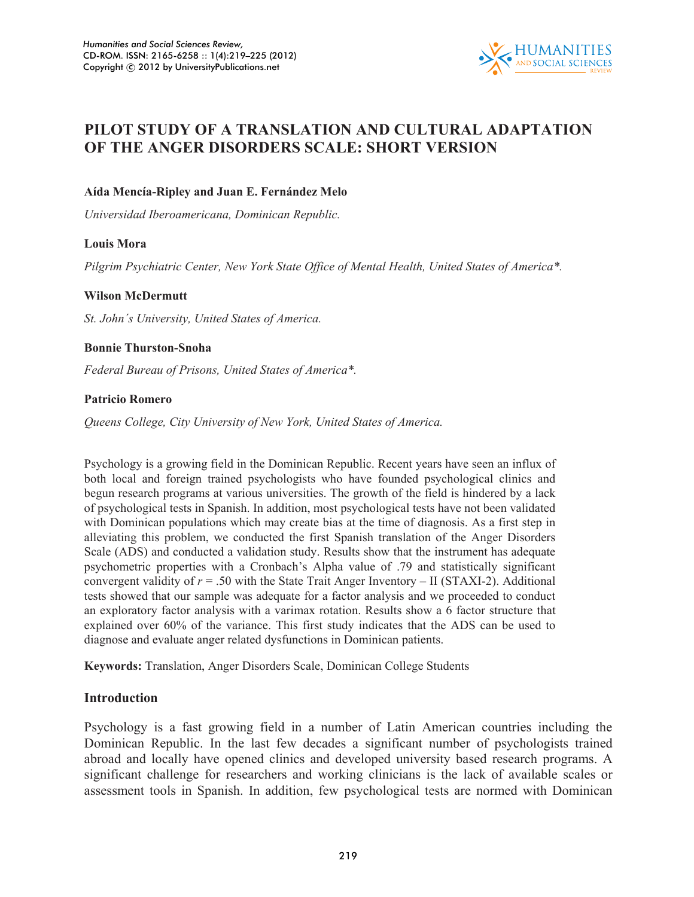

## **PILOT STUDY OF A TRANSLATION AND CULTURAL ADAPTATION OF THE ANGER DISORDERS SCALE: SHORT VERSION**

## **Aída Mencía-Ripley and Juan E. Fernández Melo**

*Universidad Iberoamericana, Dominican Republic.* 

## **Louis Mora**

*Pilgrim Psychiatric Center, New York State Office of Mental Health, United States of America\*.* 

## **Wilson McDermutt**

*St. John´s University, United States of America.* 

## **Bonnie Thurston-Snoha**

*Federal Bureau of Prisons, United States of America\*.* 

## **Patricio Romero**

*Queens College, City University of New York, United States of America.* 

Psychology is a growing field in the Dominican Republic. Recent years have seen an influx of both local and foreign trained psychologists who have founded psychological clinics and begun research programs at various universities. The growth of the field is hindered by a lack of psychological tests in Spanish. In addition, most psychological tests have not been validated with Dominican populations which may create bias at the time of diagnosis. As a first step in alleviating this problem, we conducted the first Spanish translation of the Anger Disorders Scale (ADS) and conducted a validation study. Results show that the instrument has adequate psychometric properties with a Cronbach's Alpha value of .79 and statistically significant convergent validity of  $r = .50$  with the State Trait Anger Inventory – II (STAXI-2). Additional tests showed that our sample was adequate for a factor analysis and we proceeded to conduct an exploratory factor analysis with a varimax rotation. Results show a 6 factor structure that explained over 60% of the variance. This first study indicates that the ADS can be used to diagnose and evaluate anger related dysfunctions in Dominican patients.

**Keywords:** Translation, Anger Disorders Scale, Dominican College Students

## **Introduction**

Psychology is a fast growing field in a number of Latin American countries including the Dominican Republic. In the last few decades a significant number of psychologists trained abroad and locally have opened clinics and developed university based research programs. A significant challenge for researchers and working clinicians is the lack of available scales or assessment tools in Spanish. In addition, few psychological tests are normed with Dominican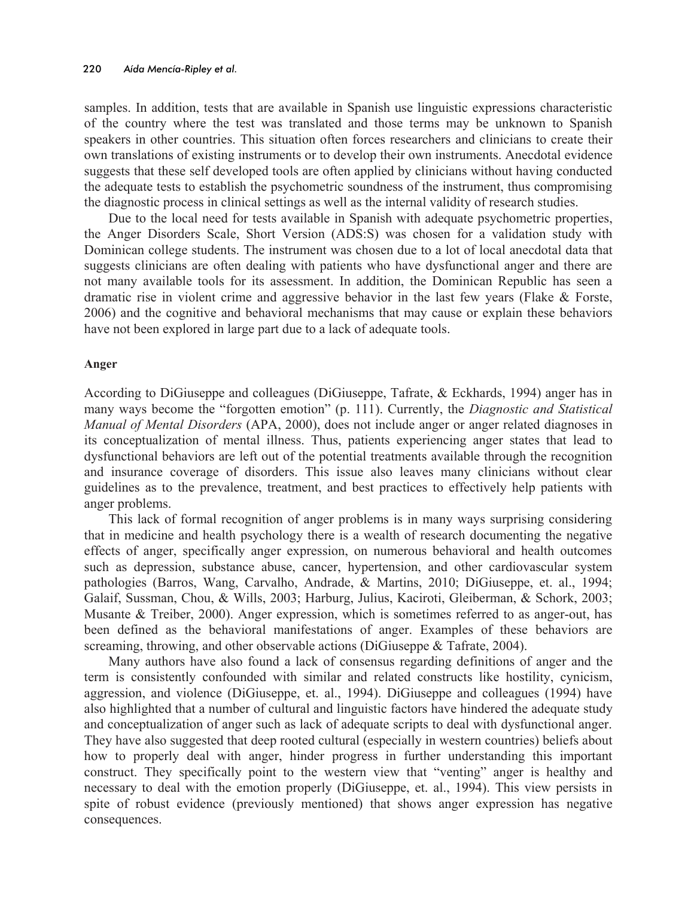samples. In addition, tests that are available in Spanish use linguistic expressions characteristic of the country where the test was translated and those terms may be unknown to Spanish speakers in other countries. This situation often forces researchers and clinicians to create their own translations of existing instruments or to develop their own instruments. Anecdotal evidence suggests that these self developed tools are often applied by clinicians without having conducted the adequate tests to establish the psychometric soundness of the instrument, thus compromising the diagnostic process in clinical settings as well as the internal validity of research studies.

Due to the local need for tests available in Spanish with adequate psychometric properties, the Anger Disorders Scale, Short Version (ADS:S) was chosen for a validation study with Dominican college students. The instrument was chosen due to a lot of local anecdotal data that suggests clinicians are often dealing with patients who have dysfunctional anger and there are not many available tools for its assessment. In addition, the Dominican Republic has seen a dramatic rise in violent crime and aggressive behavior in the last few years (Flake & Forste, 2006) and the cognitive and behavioral mechanisms that may cause or explain these behaviors have not been explored in large part due to a lack of adequate tools.

#### **Anger**

According to DiGiuseppe and colleagues (DiGiuseppe, Tafrate, & Eckhards, 1994) anger has in many ways become the "forgotten emotion" (p. 111). Currently, the *Diagnostic and Statistical Manual of Mental Disorders* (APA, 2000), does not include anger or anger related diagnoses in its conceptualization of mental illness. Thus, patients experiencing anger states that lead to dysfunctional behaviors are left out of the potential treatments available through the recognition and insurance coverage of disorders. This issue also leaves many clinicians without clear guidelines as to the prevalence, treatment, and best practices to effectively help patients with anger problems.

This lack of formal recognition of anger problems is in many ways surprising considering that in medicine and health psychology there is a wealth of research documenting the negative effects of anger, specifically anger expression, on numerous behavioral and health outcomes such as depression, substance abuse, cancer, hypertension, and other cardiovascular system pathologies (Barros, Wang, Carvalho, Andrade, & Martins, 2010; DiGiuseppe, et. al., 1994; Galaif, Sussman, Chou, & Wills, 2003; Harburg, Julius, Kaciroti, Gleiberman, & Schork, 2003; Musante & Treiber, 2000). Anger expression, which is sometimes referred to as anger-out, has been defined as the behavioral manifestations of anger. Examples of these behaviors are screaming, throwing, and other observable actions (DiGiuseppe & Tafrate, 2004).

Many authors have also found a lack of consensus regarding definitions of anger and the term is consistently confounded with similar and related constructs like hostility, cynicism, aggression, and violence (DiGiuseppe, et. al., 1994). DiGiuseppe and colleagues (1994) have also highlighted that a number of cultural and linguistic factors have hindered the adequate study and conceptualization of anger such as lack of adequate scripts to deal with dysfunctional anger. They have also suggested that deep rooted cultural (especially in western countries) beliefs about how to properly deal with anger, hinder progress in further understanding this important construct. They specifically point to the western view that "venting" anger is healthy and necessary to deal with the emotion properly (DiGiuseppe, et. al., 1994). This view persists in spite of robust evidence (previously mentioned) that shows anger expression has negative consequences.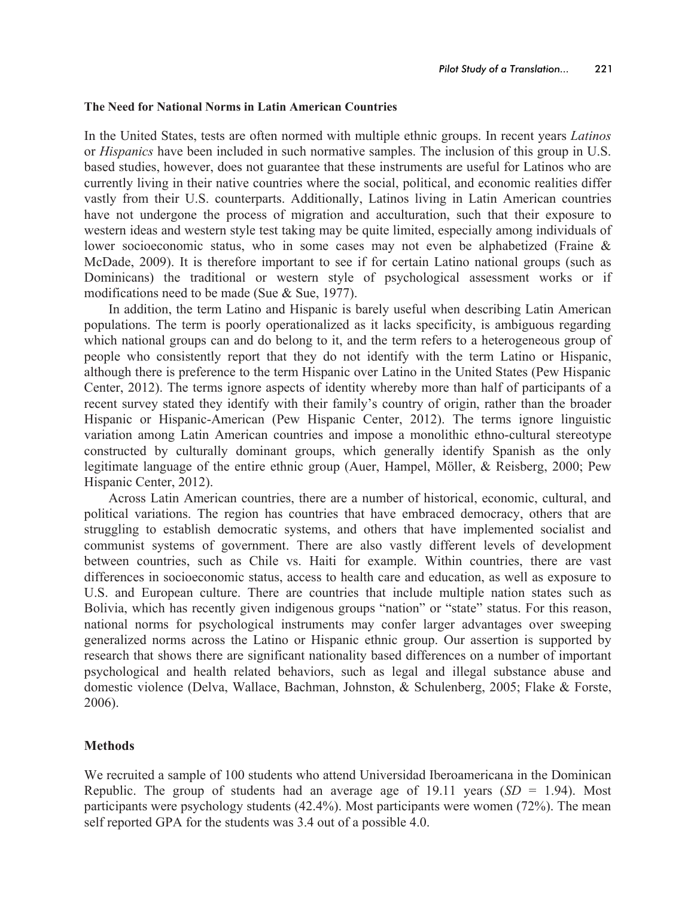#### **The Need for National Norms in Latin American Countries**

In the United States, tests are often normed with multiple ethnic groups. In recent years *Latinos* or *Hispanics* have been included in such normative samples. The inclusion of this group in U.S. based studies, however, does not guarantee that these instruments are useful for Latinos who are currently living in their native countries where the social, political, and economic realities differ vastly from their U.S. counterparts. Additionally, Latinos living in Latin American countries have not undergone the process of migration and acculturation, such that their exposure to western ideas and western style test taking may be quite limited, especially among individuals of lower socioeconomic status, who in some cases may not even be alphabetized (Fraine & McDade, 2009). It is therefore important to see if for certain Latino national groups (such as Dominicans) the traditional or western style of psychological assessment works or if modifications need to be made (Sue & Sue, 1977).

In addition, the term Latino and Hispanic is barely useful when describing Latin American populations. The term is poorly operationalized as it lacks specificity, is ambiguous regarding which national groups can and do belong to it, and the term refers to a heterogeneous group of people who consistently report that they do not identify with the term Latino or Hispanic, although there is preference to the term Hispanic over Latino in the United States (Pew Hispanic Center, 2012). The terms ignore aspects of identity whereby more than half of participants of a recent survey stated they identify with their family's country of origin, rather than the broader Hispanic or Hispanic-American (Pew Hispanic Center, 2012). The terms ignore linguistic variation among Latin American countries and impose a monolithic ethno-cultural stereotype constructed by culturally dominant groups, which generally identify Spanish as the only legitimate language of the entire ethnic group (Auer, Hampel, Möller, & Reisberg, 2000; Pew Hispanic Center, 2012).

Across Latin American countries, there are a number of historical, economic, cultural, and political variations. The region has countries that have embraced democracy, others that are struggling to establish democratic systems, and others that have implemented socialist and communist systems of government. There are also vastly different levels of development between countries, such as Chile vs. Haiti for example. Within countries, there are vast differences in socioeconomic status, access to health care and education, as well as exposure to U.S. and European culture. There are countries that include multiple nation states such as Bolivia, which has recently given indigenous groups "nation" or "state" status. For this reason, national norms for psychological instruments may confer larger advantages over sweeping generalized norms across the Latino or Hispanic ethnic group. Our assertion is supported by research that shows there are significant nationality based differences on a number of important psychological and health related behaviors, such as legal and illegal substance abuse and domestic violence (Delva, Wallace, Bachman, Johnston, & Schulenberg, 2005; Flake & Forste, 2006).

## **Methods**

We recruited a sample of 100 students who attend Universidad Iberoamericana in the Dominican Republic. The group of students had an average age of 19.11 years  $(SD = 1.94)$ . Most participants were psychology students (42.4%). Most participants were women (72%). The mean self reported GPA for the students was 3.4 out of a possible 4.0.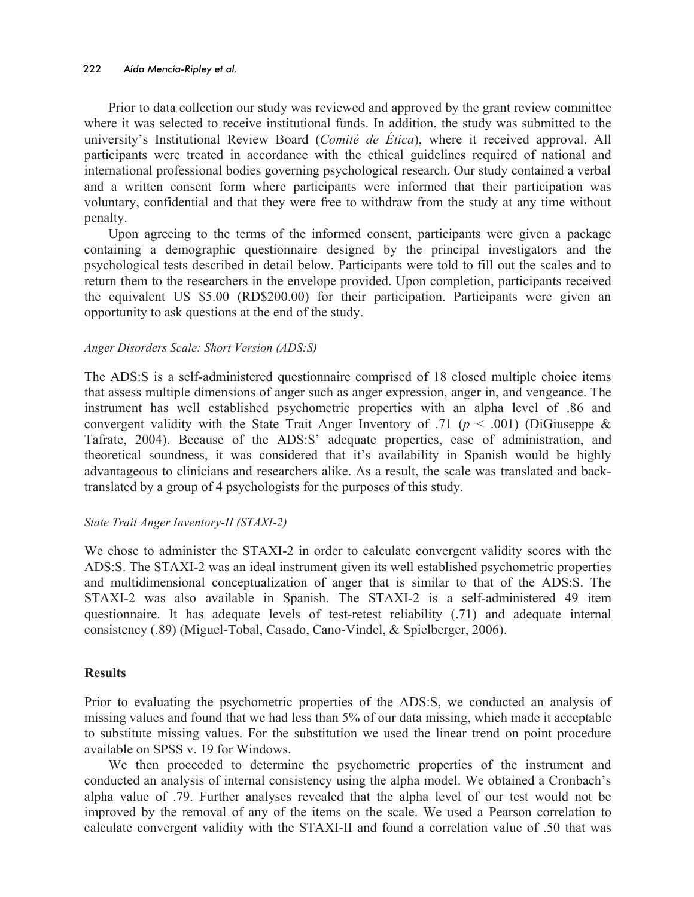#### 222 *Aída Mencía-Ripley et al.*

Prior to data collection our study was reviewed and approved by the grant review committee where it was selected to receive institutional funds. In addition, the study was submitted to the university's Institutional Review Board (*Comité de Ética*), where it received approval. All participants were treated in accordance with the ethical guidelines required of national and international professional bodies governing psychological research. Our study contained a verbal and a written consent form where participants were informed that their participation was voluntary, confidential and that they were free to withdraw from the study at any time without penalty.

Upon agreeing to the terms of the informed consent, participants were given a package containing a demographic questionnaire designed by the principal investigators and the psychological tests described in detail below. Participants were told to fill out the scales and to return them to the researchers in the envelope provided. Upon completion, participants received the equivalent US \$5.00 (RD\$200.00) for their participation. Participants were given an opportunity to ask questions at the end of the study.

## *Anger Disorders Scale: Short Version (ADS:S)*

The ADS:S is a self-administered questionnaire comprised of 18 closed multiple choice items that assess multiple dimensions of anger such as anger expression, anger in, and vengeance. The instrument has well established psychometric properties with an alpha level of .86 and convergent validity with the State Trait Anger Inventory of .71 ( $p < .001$ ) (DiGiuseppe & Tafrate, 2004). Because of the ADS:S' adequate properties, ease of administration, and theoretical soundness, it was considered that it's availability in Spanish would be highly advantageous to clinicians and researchers alike. As a result, the scale was translated and backtranslated by a group of 4 psychologists for the purposes of this study.

## *State Trait Anger Inventory-II (STAXI-2)*

We chose to administer the STAXI-2 in order to calculate convergent validity scores with the ADS:S. The STAXI-2 was an ideal instrument given its well established psychometric properties and multidimensional conceptualization of anger that is similar to that of the ADS:S. The STAXI-2 was also available in Spanish. The STAXI-2 is a self-administered 49 item questionnaire. It has adequate levels of test-retest reliability (.71) and adequate internal consistency (.89) (Miguel-Tobal, Casado, Cano-Vindel, & Spielberger, 2006).

## **Results**

Prior to evaluating the psychometric properties of the ADS:S, we conducted an analysis of missing values and found that we had less than 5% of our data missing, which made it acceptable to substitute missing values. For the substitution we used the linear trend on point procedure available on SPSS v. 19 for Windows.

We then proceeded to determine the psychometric properties of the instrument and conducted an analysis of internal consistency using the alpha model. We obtained a Cronbach's alpha value of .79. Further analyses revealed that the alpha level of our test would not be improved by the removal of any of the items on the scale. We used a Pearson correlation to calculate convergent validity with the STAXI-II and found a correlation value of .50 that was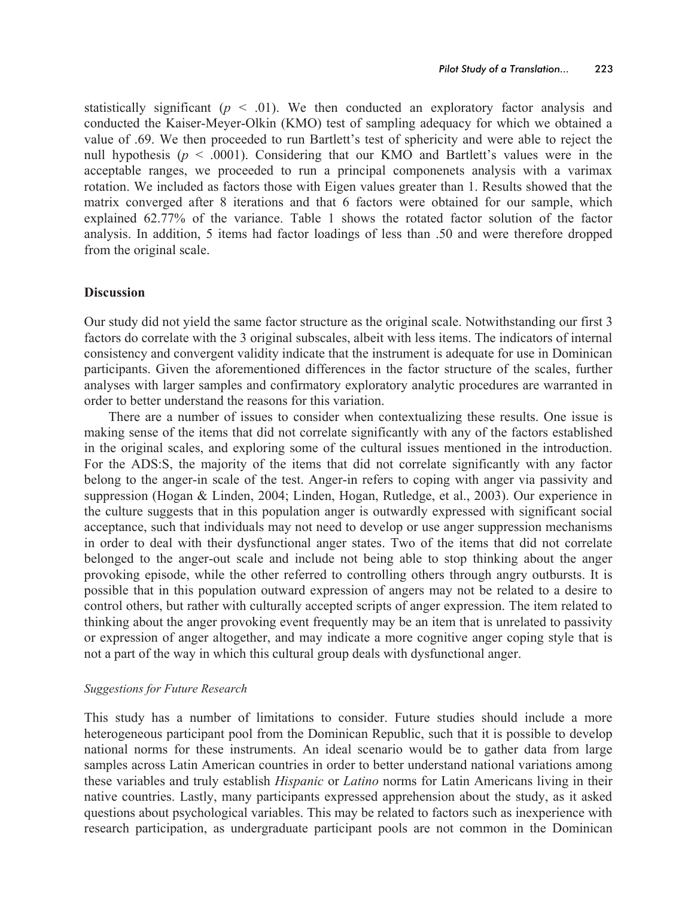statistically significant  $(p \le 0.01)$ . We then conducted an exploratory factor analysis and conducted the Kaiser-Meyer-Olkin (KMO) test of sampling adequacy for which we obtained a value of .69. We then proceeded to run Bartlett's test of sphericity and were able to reject the null hypothesis ( $p < .0001$ ). Considering that our KMO and Bartlett's values were in the acceptable ranges, we proceeded to run a principal componenets analysis with a varimax rotation. We included as factors those with Eigen values greater than 1. Results showed that the matrix converged after 8 iterations and that 6 factors were obtained for our sample, which explained 62.77% of the variance. Table 1 shows the rotated factor solution of the factor analysis. In addition, 5 items had factor loadings of less than .50 and were therefore dropped from the original scale.

## **Discussion**

Our study did not yield the same factor structure as the original scale. Notwithstanding our first 3 factors do correlate with the 3 original subscales, albeit with less items. The indicators of internal consistency and convergent validity indicate that the instrument is adequate for use in Dominican participants. Given the aforementioned differences in the factor structure of the scales, further analyses with larger samples and confirmatory exploratory analytic procedures are warranted in order to better understand the reasons for this variation.

There are a number of issues to consider when contextualizing these results. One issue is making sense of the items that did not correlate significantly with any of the factors established in the original scales, and exploring some of the cultural issues mentioned in the introduction. For the ADS:S, the majority of the items that did not correlate significantly with any factor belong to the anger-in scale of the test. Anger-in refers to coping with anger via passivity and suppression (Hogan & Linden, 2004; Linden, Hogan, Rutledge, et al., 2003). Our experience in the culture suggests that in this population anger is outwardly expressed with significant social acceptance, such that individuals may not need to develop or use anger suppression mechanisms in order to deal with their dysfunctional anger states. Two of the items that did not correlate belonged to the anger-out scale and include not being able to stop thinking about the anger provoking episode, while the other referred to controlling others through angry outbursts. It is possible that in this population outward expression of angers may not be related to a desire to control others, but rather with culturally accepted scripts of anger expression. The item related to thinking about the anger provoking event frequently may be an item that is unrelated to passivity or expression of anger altogether, and may indicate a more cognitive anger coping style that is not a part of the way in which this cultural group deals with dysfunctional anger.

## *Suggestions for Future Research*

This study has a number of limitations to consider. Future studies should include a more heterogeneous participant pool from the Dominican Republic, such that it is possible to develop national norms for these instruments. An ideal scenario would be to gather data from large samples across Latin American countries in order to better understand national variations among these variables and truly establish *Hispanic* or *Latino* norms for Latin Americans living in their native countries. Lastly, many participants expressed apprehension about the study, as it asked questions about psychological variables. This may be related to factors such as inexperience with research participation, as undergraduate participant pools are not common in the Dominican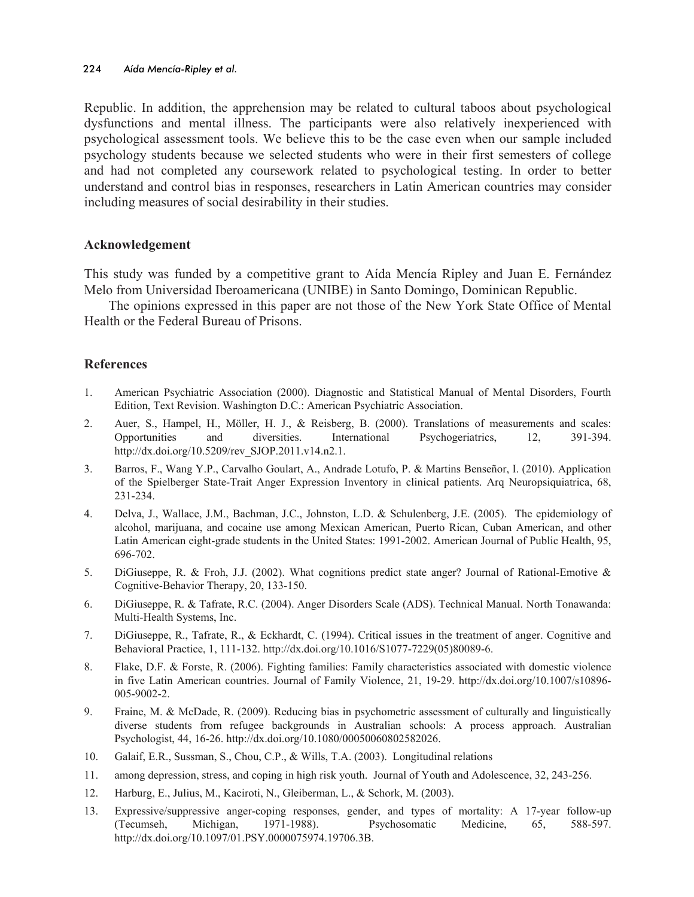Republic. In addition, the apprehension may be related to cultural taboos about psychological dysfunctions and mental illness. The participants were also relatively inexperienced with psychological assessment tools. We believe this to be the case even when our sample included psychology students because we selected students who were in their first semesters of college and had not completed any coursework related to psychological testing. In order to better understand and control bias in responses, researchers in Latin American countries may consider including measures of social desirability in their studies.

## **Acknowledgement**

This study was funded by a competitive grant to Aída Mencía Ripley and Juan E. Fernández Melo from Universidad Iberoamericana (UNIBE) in Santo Domingo, Dominican Republic.

The opinions expressed in this paper are not those of the New York State Office of Mental Health or the Federal Bureau of Prisons.

## **References**

- 1. American Psychiatric Association (2000). Diagnostic and Statistical Manual of Mental Disorders, Fourth Edition, Text Revision. Washington D.C.: American Psychiatric Association.
- 2. Auer, S., Hampel, H., Möller, H. J., & Reisberg, B. (2000). Translations of measurements and scales: Opportunities and diversities. International Psychogeriatrics, 12, 391-394. http://dx.doi.org/10.5209/rev\_SJOP.2011.v14.n2.1.
- 3. Barros, F., Wang Y.P., Carvalho Goulart, A., Andrade Lotufo, P. & Martins Benseñor, I. (2010). Application of the Spielberger State-Trait Anger Expression Inventory in clinical patients. Arq Neuropsiquiatrica, 68, 231-234.
- 4. Delva, J., Wallace, J.M., Bachman, J.C., Johnston, L.D. & Schulenberg, J.E. (2005). The epidemiology of alcohol, marijuana, and cocaine use among Mexican American, Puerto Rican, Cuban American, and other Latin American eight-grade students in the United States: 1991-2002. American Journal of Public Health, 95, 696-702.
- 5. DiGiuseppe, R. & Froh, J.J. (2002). What cognitions predict state anger? Journal of Rational-Emotive & Cognitive-Behavior Therapy, 20, 133-150.
- 6. DiGiuseppe, R. & Tafrate, R.C. (2004). Anger Disorders Scale (ADS). Technical Manual. North Tonawanda: Multi-Health Systems, Inc.
- 7. DiGiuseppe, R., Tafrate, R., & Eckhardt, C. (1994). Critical issues in the treatment of anger. Cognitive and Behavioral Practice, 1, 111-132. http://dx.doi.org/10.1016/S1077-7229(05)80089-6.
- 8. Flake, D.F. & Forste, R. (2006). Fighting families: Family characteristics associated with domestic violence in five Latin American countries. Journal of Family Violence, 21, 19-29. http://dx.doi.org/10.1007/s10896- 005-9002-2.
- 9. Fraine, M. & McDade, R. (2009). Reducing bias in psychometric assessment of culturally and linguistically diverse students from refugee backgrounds in Australian schools: A process approach. Australian Psychologist, 44, 16-26. http://dx.doi.org/10.1080/00050060802582026.
- 10. Galaif, E.R., Sussman, S., Chou, C.P., & Wills, T.A. (2003). Longitudinal relations
- 11. among depression, stress, and coping in high risk youth. Journal of Youth and Adolescence, 32, 243-256.
- 12. Harburg, E., Julius, M., Kaciroti, N., Gleiberman, L., & Schork, M. (2003).
- 13. Expressive/suppressive anger-coping responses, gender, and types of mortality: A 17-year follow-up (Tecumseh, Michigan, 1971-1988). Psychosomatic Medicine, 65, 588-597. http://dx.doi.org/10.1097/01.PSY.0000075974.19706.3B.